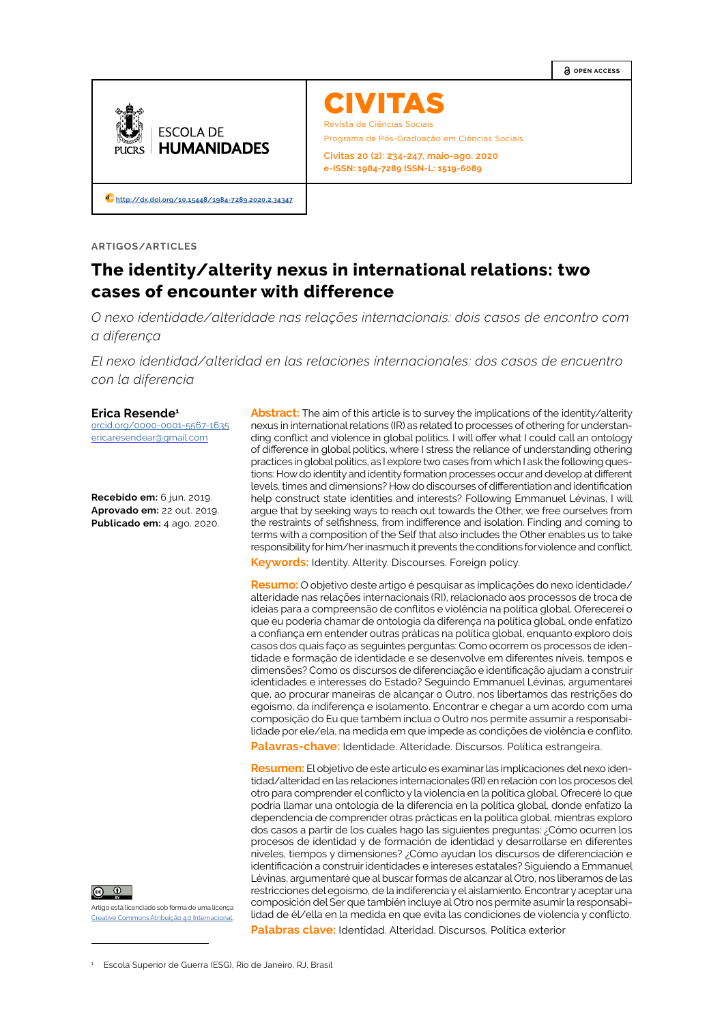**Q** OPEN ACCESS



CIVITAS Revista de Ciências Sociais

Programa de Pós-Graduação em Ciências Sociais

**Civitas 20 (2): 234-247, maio-ago. 2020 e-ISSN: 1984-7289 ISSN-L: 1519-6089**

**[http://dx.doi.org/10.15448/1984-7289.2020.2.3](http://dx.doi.org/10.15448/1984-7289.2020.2.34347)4347**

**ARTIGOS/ARTICLES**

# **The identity/alterity nexus in international relations: two cases of encounter with difference**

*O nexo identidade/alteridade nas relações internacionais: dois casos de encontro com a diferença*

*El nexo identidad/alteridad en las relaciones internacionales: dos casos de encuentro con la diferencia*

#### **Erica Resende1**

[orcid.org/0000-0001-5567-1635](http://orcid.org/0000-0001-5567-1635) [ericaresendear@gmail.com](mailto:ericaresendear@gmail.com)

**Recebido em:** 6 jun. 2019. **Aprovado em:** 22 out. 2019. **Publicado em:** 4 ago. 2020. **Abstract:** The aim of this article is to survey the implications of the identity/alterity nexus in international relations (IR) as related to processes of othering for understanding conflict and violence in global politics. I will offer what I could call an ontology of difference in global politics, where I stress the reliance of understanding othering practices in global politics, as I explore two cases from which I ask the following questions: How do identity and identity formation processes occur and develop at different levels, times and dimensions? How do discourses of differentiation and identification help construct state identities and interests? Following Emmanuel Lévinas, I will argue that by seeking ways to reach out towards the Other, we free ourselves from the restraints of selfishness, from indifference and isolation. Finding and coming to terms with a composition of the Self that also includes the Other enables us to take responsibility for him/her inasmuch it prevents the conditions for violence and conflict. **Keywords:** Identity. Alterity. Discourses. Foreign policy.

**Resumo:** O objetivo deste artigo é pesquisar as implicações do nexo identidade/ alteridade nas relações internacionais (RI), relacionado aos processos de troca de ideias para a compreensão de conflitos e violência na política global. Oferecerei o que eu poderia chamar de ontologia da diferença na política global, onde enfatizo a confiança em entender outras práticas na política global, enquanto exploro dois casos dos quais faço as seguintes perguntas: Como ocorrem os processos de identidade e formação de identidade e se desenvolve em diferentes níveis, tempos e dimensões? Como os discursos de diferenciação e identificação ajudam a construir identidades e interesses do Estado? Seguindo Emmanuel Lévinas, argumentarei que, ao procurar maneiras de alcançar o Outro, nos libertamos das restrições do egoísmo, da indiferença e isolamento. Encontrar e chegar a um acordo com uma composição do Eu que também inclua o Outro nos permite assumir a responsabilidade por ele/ela, na medida em que impede as condições de violência e conflito.

**Palavras-chave:** Identidade. Alteridade. Discursos. Política estrangeira.

**Resumen:** El objetivo de este artículo es examinar las implicaciones del nexo identidad/alteridad en las relaciones internacionales (RI) en relación con los procesos del otro para comprender el conflicto y la violencia en la política global. Ofreceré lo que podría llamar una ontología de la diferencia en la política global, donde enfatizo la dependencia de comprender otras prácticas en la política global, mientras exploro dos casos a partir de los cuales hago las siguientes preguntas: ¿Cómo ocurren los procesos de identidad y de formación de identidad y desarrollarse en diferentes niveles, tiempos y dimensiones? ¿Cómo ayudan los discursos de diferenciación e identificación a construir identidades e intereses estatales? Siguiendo a Emmanuel Lévinas, argumentaré que al buscar formas de alcanzar al Otro, nos liberamos de las restricciones del egoísmo, de la indiferencia y el aislamiento. Encontrar y aceptar una composición del Ser que también incluye al Otro nos permite asumir la responsabilidad de él/ella en la medida en que evita las condiciones de violencia y conflicto.

Artigo está licenciado sob forma de uma licença tive Commons Atribuição 4.0 Internacional

**Palabras clave:** Identidad. Alteridad. Discursos. Política exterior

<sup>1</sup> Escola Superior de Guerra (ESG), Rio de Janeiro, RJ, Brasil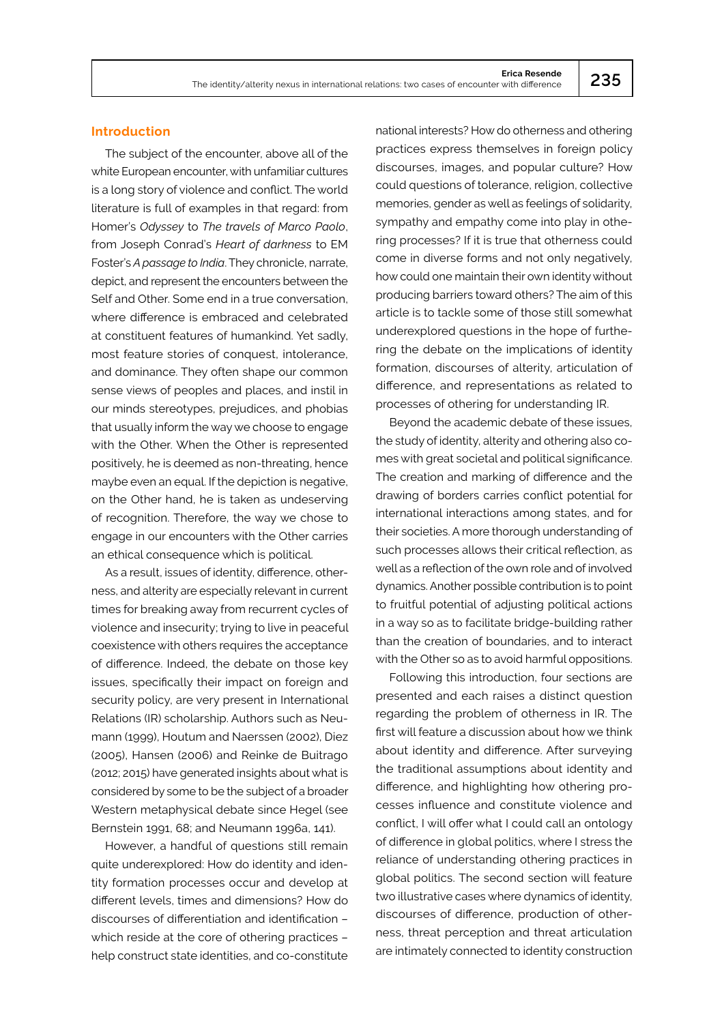#### **Introduction**

The subject of the encounter, above all of the white European encounter, with unfamiliar cultures is a long story of violence and conflict. The world literature is full of examples in that regard: from Homer's *Odyssey* to *The travels of Marco Paolo*, from Joseph Conrad's *Heart of darkness* to EM Foster's *A passage to India*. They chronicle, narrate, depict, and represent the encounters between the Self and Other. Some end in a true conversation, where difference is embraced and celebrated at constituent features of humankind. Yet sadly, most feature stories of conquest, intolerance, and dominance. They often shape our common sense views of peoples and places, and instil in our minds stereotypes, prejudices, and phobias that usually inform the way we choose to engage with the Other. When the Other is represented positively, he is deemed as non-threating, hence maybe even an equal. If the depiction is negative, on the Other hand, he is taken as undeserving of recognition. Therefore, the way we chose to engage in our encounters with the Other carries an ethical consequence which is political.

As a result, issues of identity, difference, otherness, and alterity are especially relevant in current times for breaking away from recurrent cycles of violence and insecurity; trying to live in peaceful coexistence with others requires the acceptance of difference. Indeed, the debate on those key issues, specifically their impact on foreign and security policy, are very present in International Relations (IR) scholarship. Authors such as Neumann (1999), Houtum and Naerssen (2002), Diez (2005), Hansen (2006) and Reinke de Buitrago (2012; 2015) have generated insights about what is considered by some to be the subject of a broader Western metaphysical debate since Hegel (see Bernstein 1991, 68; and Neumann 1996a, 141).

However, a handful of questions still remain quite underexplored: How do identity and identity formation processes occur and develop at different levels, times and dimensions? How do discourses of differentiation and identification – which reside at the core of othering practices – help construct state identities, and co-constitute

national interests? How do otherness and othering practices express themselves in foreign policy discourses, images, and popular culture? How could questions of tolerance, religion, collective memories, gender as well as feelings of solidarity, sympathy and empathy come into play in othering processes? If it is true that otherness could come in diverse forms and not only negatively, how could one maintain their own identity without producing barriers toward others? The aim of this article is to tackle some of those still somewhat underexplored questions in the hope of furthering the debate on the implications of identity formation, discourses of alterity, articulation of difference, and representations as related to processes of othering for understanding IR.

Beyond the academic debate of these issues, the study of identity, alterity and othering also comes with great societal and political significance. The creation and marking of difference and the drawing of borders carries conflict potential for international interactions among states, and for their societies. A more thorough understanding of such processes allows their critical reflection, as well as a reflection of the own role and of involved dynamics. Another possible contribution is to point to fruitful potential of adjusting political actions in a way so as to facilitate bridge-building rather than the creation of boundaries, and to interact with the Other so as to avoid harmful oppositions.

Following this introduction, four sections are presented and each raises a distinct question regarding the problem of otherness in IR. The first will feature a discussion about how we think about identity and difference. After surveying the traditional assumptions about identity and difference, and highlighting how othering processes influence and constitute violence and conflict, I will offer what I could call an ontology of difference in global politics, where I stress the reliance of understanding othering practices in global politics. The second section will feature two illustrative cases where dynamics of identity, discourses of difference, production of otherness, threat perception and threat articulation are intimately connected to identity construction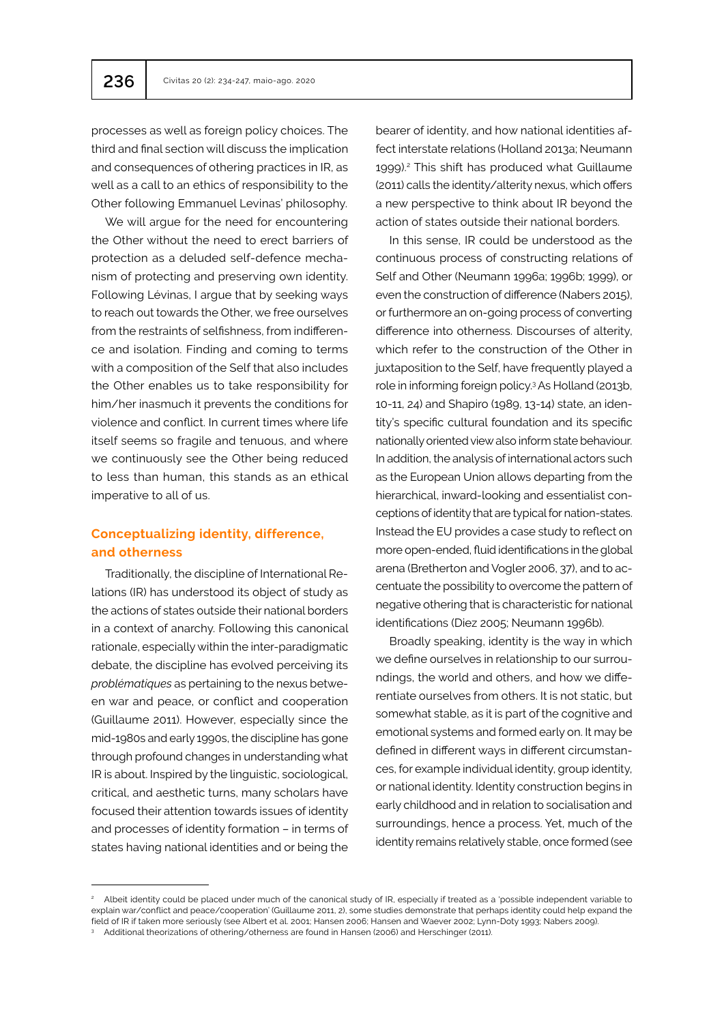processes as well as foreign policy choices. The third and final section will discuss the implication and consequences of othering practices in IR, as well as a call to an ethics of responsibility to the Other following Emmanuel Levinas' philosophy.

We will argue for the need for encountering the Other without the need to erect barriers of protection as a deluded self-defence mechanism of protecting and preserving own identity. Following Lévinas, I argue that by seeking ways to reach out towards the Other, we free ourselves from the restraints of selfishness, from indifference and isolation. Finding and coming to terms with a composition of the Self that also includes the Other enables us to take responsibility for him/her inasmuch it prevents the conditions for violence and conflict. In current times where life itself seems so fragile and tenuous, and where we continuously see the Other being reduced to less than human, this stands as an ethical imperative to all of us.

### **Conceptualizing identity, difference, and otherness**

Traditionally, the discipline of International Relations (IR) has understood its object of study as the actions of states outside their national borders in a context of anarchy. Following this canonical rationale, especially within the inter-paradigmatic debate, the discipline has evolved perceiving its *problématiques* as pertaining to the nexus between war and peace, or conflict and cooperation (Guillaume 2011). However, especially since the mid-1980s and early 1990s, the discipline has gone through profound changes in understanding what IR is about. Inspired by the linguistic, sociological, critical, and aesthetic turns, many scholars have focused their attention towards issues of identity and processes of identity formation – in terms of states having national identities and or being the bearer of identity, and how national identities affect interstate relations (Holland 2013a; Neumann 1999).<sup>2</sup> This shift has produced what Guillaume (2011) calls the identity/alterity nexus, which offers a new perspective to think about IR beyond the action of states outside their national borders.

In this sense, IR could be understood as the continuous process of constructing relations of Self and Other (Neumann 1996a; 1996b; 1999), or even the construction of difference (Nabers 2015), or furthermore an on-going process of converting difference into otherness. Discourses of alterity, which refer to the construction of the Other in juxtaposition to the Self, have frequently played a role in informing foreign policy.<sup>3</sup> As Holland (2013b, 10-11, 24) and Shapiro (1989, 13-14) state, an identity's specific cultural foundation and its specific nationally oriented view also inform state behaviour. In addition, the analysis of international actors such as the European Union allows departing from the hierarchical, inward-looking and essentialist conceptions of identity that are typical for nation-states. Instead the EU provides a case study to reflect on more open-ended, fluid identifications in the global arena (Bretherton and Vogler 2006, 37), and to accentuate the possibility to overcome the pattern of negative othering that is characteristic for national identifications (Diez 2005; Neumann 1996b).

Broadly speaking, identity is the way in which we define ourselves in relationship to our surroundings, the world and others, and how we differentiate ourselves from others. It is not static, but somewhat stable, as it is part of the cognitive and emotional systems and formed early on. It may be defined in different ways in different circumstances, for example individual identity, group identity, or national identity. Identity construction begins in early childhood and in relation to socialisation and surroundings, hence a process. Yet, much of the identity remains relatively stable, once formed (see

<sup>2</sup> Albeit identity could be placed under much of the canonical study of IR, especially if treated as a 'possible independent variable to explain war/conflict and peace/cooperation' (Guillaume 2011, 2), some studies demonstrate that perhaps identity could help expand the field of IR if taken more seriously (see Albert et al. 2001; Hansen 2006; Hansen and Waever 2002; Lynn-Doty 1993; Nabers 2009). 3

Additional theorizations of othering/otherness are found in Hansen (2006) and Herschinger (2011).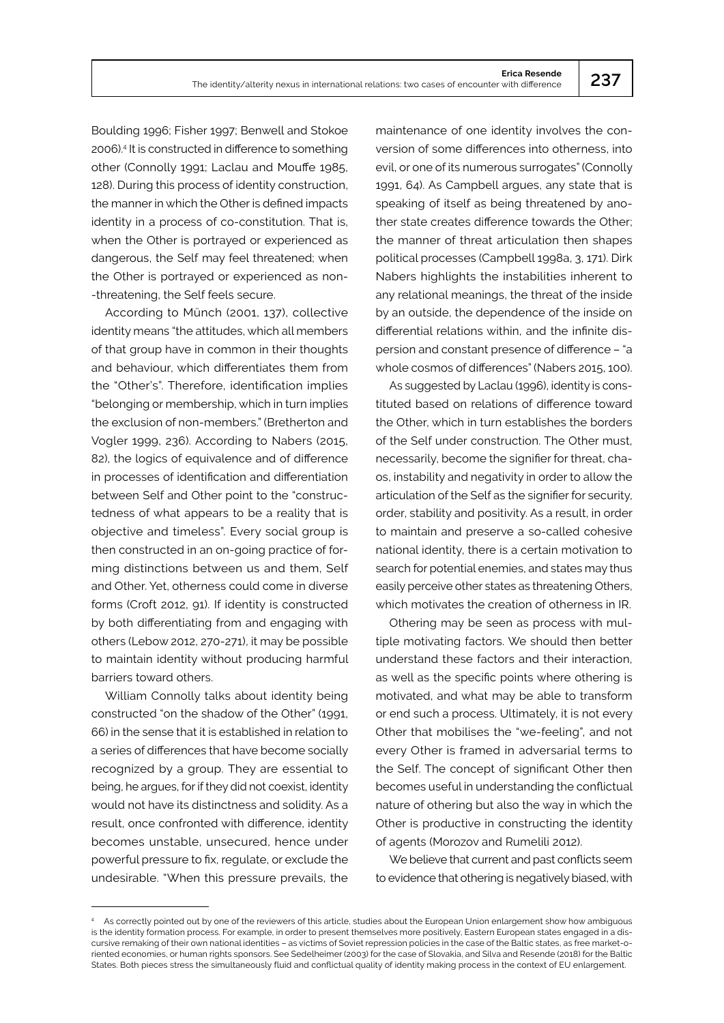Boulding 1996; Fisher 1997; Benwell and Stokoe 2006).<sup>4</sup> It is constructed in difference to something other (Connolly 1991; Laclau and Mouffe 1985, 128). During this process of identity construction, the manner in which the Other is defined impacts identity in a process of co-constitution. That is, when the Other is portrayed or experienced as dangerous, the Self may feel threatened; when the Other is portrayed or experienced as non- -threatening, the Self feels secure.

According to Münch (2001, 137), collective identity means "the attitudes, which all members of that group have in common in their thoughts and behaviour, which differentiates them from the "Other's". Therefore, identification implies "belonging or membership, which in turn implies the exclusion of non-members." (Bretherton and Vogler 1999, 236). According to Nabers (2015, 82), the logics of equivalence and of difference in processes of identification and differentiation between Self and Other point to the "constructedness of what appears to be a reality that is objective and timeless". Every social group is then constructed in an on-going practice of forming distinctions between us and them, Self and Other. Yet, otherness could come in diverse forms (Croft 2012, 91). If identity is constructed by both differentiating from and engaging with others (Lebow 2012, 270-271), it may be possible to maintain identity without producing harmful barriers toward others.

William Connolly talks about identity being constructed "on the shadow of the Other" (1991, 66) in the sense that it is established in relation to a series of differences that have become socially recognized by a group. They are essential to being, he argues, for if they did not coexist, identity would not have its distinctness and solidity. As a result, once confronted with difference, identity becomes unstable, unsecured, hence under powerful pressure to fix, regulate, or exclude the undesirable. "When this pressure prevails, the

maintenance of one identity involves the conversion of some differences into otherness, into evil, or one of its numerous surrogates" (Connolly 1991, 64). As Campbell argues, any state that is speaking of itself as being threatened by another state creates difference towards the Other; the manner of threat articulation then shapes political processes (Campbell 1998a, 3, 171). Dirk Nabers highlights the instabilities inherent to any relational meanings, the threat of the inside by an outside, the dependence of the inside on differential relations within, and the infinite dispersion and constant presence of difference – "a whole cosmos of differences" (Nabers 2015, 100).

As suggested by Laclau (1996), identity is constituted based on relations of difference toward the Other, which in turn establishes the borders of the Self under construction. The Other must, necessarily, become the signifier for threat, chaos, instability and negativity in order to allow the articulation of the Self as the signifier for security, order, stability and positivity. As a result, in order to maintain and preserve a so-called cohesive national identity, there is a certain motivation to search for potential enemies, and states may thus easily perceive other states as threatening Others, which motivates the creation of otherness in IR.

Othering may be seen as process with multiple motivating factors. We should then better understand these factors and their interaction, as well as the specific points where othering is motivated, and what may be able to transform or end such a process. Ultimately, it is not every Other that mobilises the "we-feeling", and not every Other is framed in adversarial terms to the Self. The concept of significant Other then becomes useful in understanding the conflictual nature of othering but also the way in which the Other is productive in constructing the identity of agents (Morozov and Rumelili 2012).

We believe that current and past conflicts seem to evidence that othering is negatively biased, with

<sup>4</sup> As correctly pointed out by one of the reviewers of this article, studies about the European Union enlargement show how ambiguous is the identity formation process. For example, in order to present themselves more positively, Eastern European states engaged in a discursive remaking of their own national identities – as victims of Soviet repression policies in the case of the Baltic states, as free market-oriented economies, or human rights sponsors. See Sedelheimer (2003) for the case of Slovakia, and Silva and Resende (2018) for the Baltic States. Both pieces stress the simultaneously fluid and conflictual quality of identity making process in the context of EU enlargement.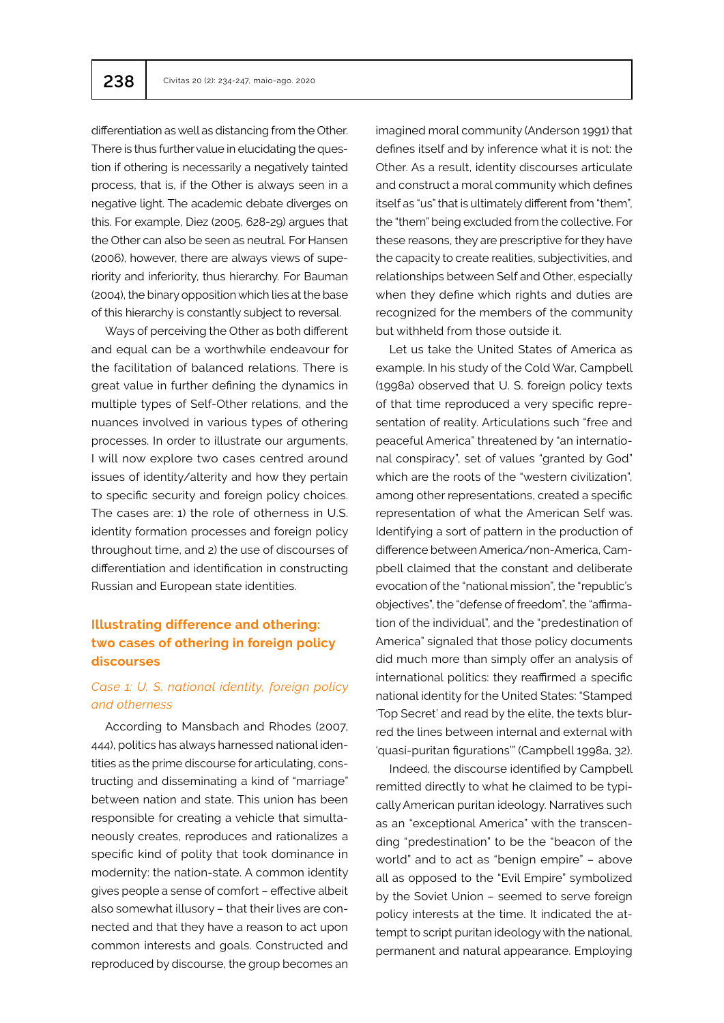differentiation as well as distancing from the Other. There is thus further value in elucidating the question if othering is necessarily a negatively tainted process, that is, if the Other is always seen in a negative light. The academic debate diverges on this. For example, Diez (2005, 628-29) argues that the Other can also be seen as neutral. For Hansen (2006), however, there are always views of superiority and inferiority, thus hierarchy. For Bauman (2004), the binary opposition which lies at the base of this hierarchy is constantly subject to reversal.

Ways of perceiving the Other as both different and equal can be a worthwhile endeavour for the facilitation of balanced relations. There is great value in further defining the dynamics in multiple types of Self-Other relations, and the nuances involved in various types of othering processes. In order to illustrate our arguments, I will now explore two cases centred around issues of identity/alterity and how they pertain to specific security and foreign policy choices. The cases are: 1) the role of otherness in U.S. identity formation processes and foreign policy throughout time, and 2) the use of discourses of differentiation and identification in constructing Russian and European state identities.

# **Illustrating difference and othering: two cases of othering in foreign policy discourses**

# *Case 1: U. S. national identity, foreign policy and otherness*

According to Mansbach and Rhodes (2007, 444), politics has always harnessed national identities as the prime discourse for articulating, constructing and disseminating a kind of "marriage" between nation and state. This union has been responsible for creating a vehicle that simultaneously creates, reproduces and rationalizes a specific kind of polity that took dominance in modernity: the nation-state. A common identity gives people a sense of comfort – effective albeit also somewhat illusory – that their lives are connected and that they have a reason to act upon common interests and goals. Constructed and reproduced by discourse, the group becomes an

imagined moral community (Anderson 1991) that defines itself and by inference what it is not: the Other. As a result, identity discourses articulate and construct a moral community which defines itself as "us" that is ultimately different from "them", the "them" being excluded from the collective. For these reasons, they are prescriptive for they have the capacity to create realities, subjectivities, and relationships between Self and Other, especially when they define which rights and duties are recognized for the members of the community but withheld from those outside it.

Let us take the United States of America as example. In his study of the Cold War, Campbell (1998a) observed that U. S. foreign policy texts of that time reproduced a very specific representation of reality. Articulations such "free and peaceful America" threatened by "an international conspiracy", set of values "granted by God" which are the roots of the "western civilization", among other representations, created a specific representation of what the American Self was. Identifying a sort of pattern in the production of difference between America/non-America, Campbell claimed that the constant and deliberate evocation of the "national mission", the "republic's objectives", the "defense of freedom", the "affirmation of the individual", and the "predestination of America" signaled that those policy documents did much more than simply offer an analysis of international politics: they reaffirmed a specific national identity for the United States: "Stamped 'Top Secret' and read by the elite, the texts blurred the lines between internal and external with 'quasi-puritan figurations'" (Campbell 1998a, 32).

Indeed, the discourse identified by Campbell remitted directly to what he claimed to be typically American puritan ideology. Narratives such as an "exceptional America" with the transcending "predestination" to be the "beacon of the world" and to act as "benign empire" - above all as opposed to the "Evil Empire" symbolized by the Soviet Union – seemed to serve foreign policy interests at the time. It indicated the attempt to script puritan ideology with the national, permanent and natural appearance. Employing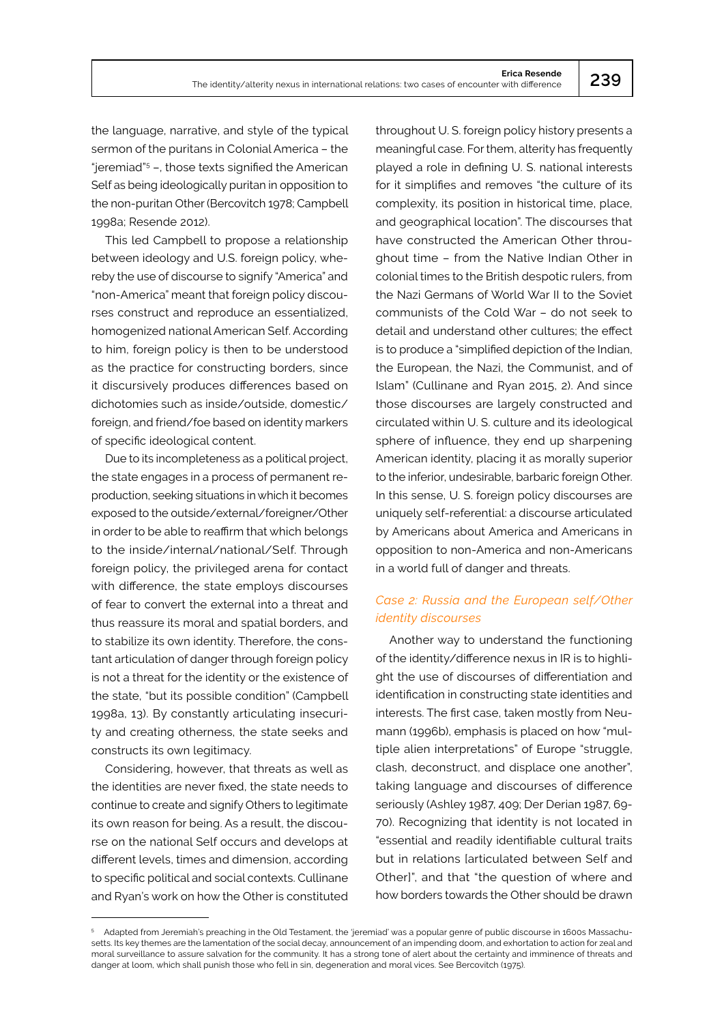the language, narrative, and style of the typical sermon of the puritans in Colonial America – the "jeremiad"<sup>5</sup> –, those texts signified the American Self as being ideologically puritan in opposition to the non-puritan Other (Bercovitch 1978; Campbell 1998a; Resende 2012).

This led Campbell to propose a relationship between ideology and U.S. foreign policy, whereby the use of discourse to signify "America" and "non-America" meant that foreign policy discourses construct and reproduce an essentialized, homogenized national American Self. According to him, foreign policy is then to be understood as the practice for constructing borders, since it discursively produces differences based on dichotomies such as inside/outside, domestic/ foreign, and friend/foe based on identity markers of specific ideological content.

Due to its incompleteness as a political project, the state engages in a process of permanent reproduction, seeking situations in which it becomes exposed to the outside/external/foreigner/Other in order to be able to reaffirm that which belongs to the inside/internal/national/Self. Through foreign policy, the privileged arena for contact with difference, the state employs discourses of fear to convert the external into a threat and thus reassure its moral and spatial borders, and to stabilize its own identity. Therefore, the constant articulation of danger through foreign policy is not a threat for the identity or the existence of the state, "but its possible condition" (Campbell 1998a, 13). By constantly articulating insecurity and creating otherness, the state seeks and constructs its own legitimacy.

Considering, however, that threats as well as the identities are never fixed, the state needs to continue to create and signify Others to legitimate its own reason for being. As a result, the discourse on the national Self occurs and develops at different levels, times and dimension, according to specific political and social contexts. Cullinane and Ryan's work on how the Other is constituted

throughout U. S. foreign policy history presents a meaningful case. For them, alterity has frequently played a role in defining U. S. national interests for it simplifies and removes "the culture of its complexity, its position in historical time, place, and geographical location". The discourses that have constructed the American Other throughout time – from the Native Indian Other in colonial times to the British despotic rulers, from the Nazi Germans of World War II to the Soviet communists of the Cold War – do not seek to detail and understand other cultures; the effect is to produce a "simplified depiction of the Indian, the European, the Nazi, the Communist, and of Islam" (Cullinane and Ryan 2015, 2). And since those discourses are largely constructed and circulated within U. S. culture and its ideological sphere of influence, they end up sharpening American identity, placing it as morally superior to the inferior, undesirable, barbaric foreign Other. In this sense, U. S. foreign policy discourses are uniquely self-referential: a discourse articulated by Americans about America and Americans in opposition to non-America and non-Americans in a world full of danger and threats.

## *Case 2: Russia and the European self/Other identity discourses*

Another way to understand the functioning of the identity/difference nexus in IR is to highlight the use of discourses of differentiation and identification in constructing state identities and interests. The first case, taken mostly from Neumann (1996b), emphasis is placed on how "multiple alien interpretations" of Europe "struggle, clash, deconstruct, and displace one another", taking language and discourses of difference seriously (Ashley 1987, 409; Der Derian 1987, 69- 70). Recognizing that identity is not located in "essential and readily identifiable cultural traits but in relations [articulated between Self and Other]", and that "the question of where and how borders towards the Other should be drawn

<sup>5</sup> Adapted from Jeremiah's preaching in the Old Testament, the 'jeremiad' was a popular genre of public discourse in 1600s Massachusetts. Its key themes are the lamentation of the social decay, announcement of an impending doom, and exhortation to action for zeal and moral surveillance to assure salvation for the community. It has a strong tone of alert about the certainty and imminence of threats and danger at loom, which shall punish those who fell in sin, degeneration and moral vices. See Bercovitch (1975).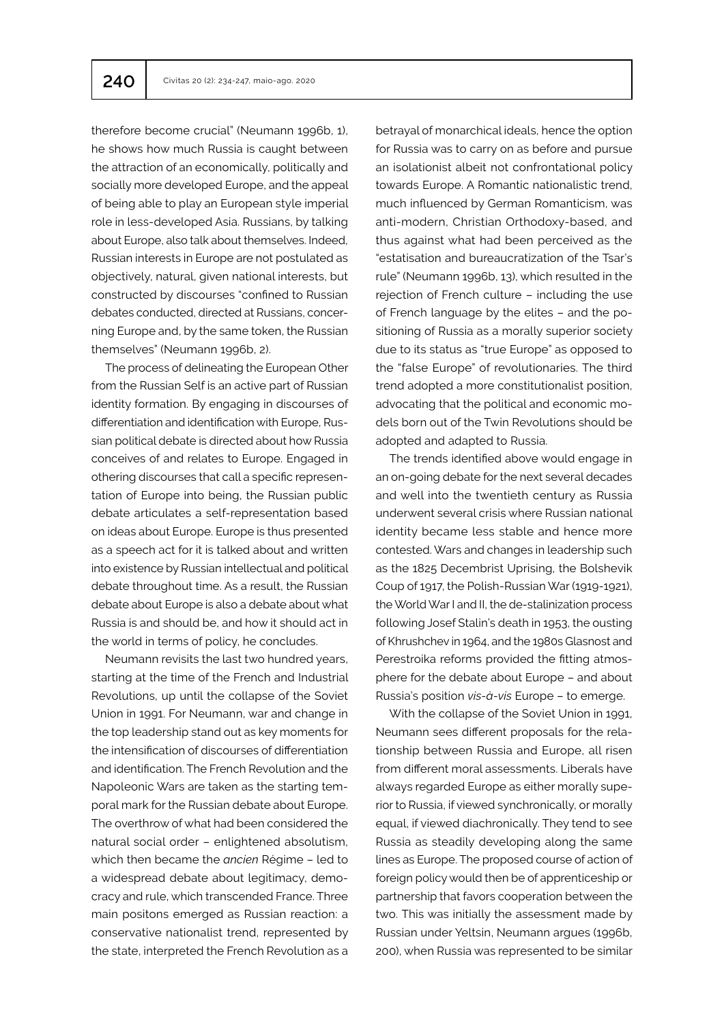therefore become crucial" (Neumann 1996b, 1), he shows how much Russia is caught between the attraction of an economically, politically and socially more developed Europe, and the appeal of being able to play an European style imperial role in less-developed Asia. Russians, by talking about Europe, also talk about themselves. Indeed, Russian interests in Europe are not postulated as objectively, natural, given national interests, but constructed by discourses "confined to Russian debates conducted, directed at Russians, concerning Europe and, by the same token, the Russian themselves" (Neumann 1996b, 2).

The process of delineating the European Other from the Russian Self is an active part of Russian identity formation. By engaging in discourses of differentiation and identification with Europe, Russian political debate is directed about how Russia conceives of and relates to Europe. Engaged in othering discourses that call a specific representation of Europe into being, the Russian public debate articulates a self-representation based on ideas about Europe. Europe is thus presented as a speech act for it is talked about and written into existence by Russian intellectual and political debate throughout time. As a result, the Russian debate about Europe is also a debate about what Russia is and should be, and how it should act in the world in terms of policy, he concludes.

Neumann revisits the last two hundred years, starting at the time of the French and Industrial Revolutions, up until the collapse of the Soviet Union in 1991. For Neumann, war and change in the top leadership stand out as key moments for the intensification of discourses of differentiation and identification. The French Revolution and the Napoleonic Wars are taken as the starting temporal mark for the Russian debate about Europe. The overthrow of what had been considered the natural social order – enlightened absolutism, which then became the *ancien* Régime – led to a widespread debate about legitimacy, democracy and rule, which transcended France. Three main positons emerged as Russian reaction: a conservative nationalist trend, represented by the state, interpreted the French Revolution as a

betrayal of monarchical ideals, hence the option for Russia was to carry on as before and pursue an isolationist albeit not confrontational policy towards Europe. A Romantic nationalistic trend, much influenced by German Romanticism, was anti-modern, Christian Orthodoxy-based, and thus against what had been perceived as the "estatisation and bureaucratization of the Tsar's rule" (Neumann 1996b, 13), which resulted in the rejection of French culture – including the use of French language by the elites – and the positioning of Russia as a morally superior society due to its status as "true Europe" as opposed to the "false Europe" of revolutionaries. The third trend adopted a more constitutionalist position, advocating that the political and economic models born out of the Twin Revolutions should be adopted and adapted to Russia.

The trends identified above would engage in an on-going debate for the next several decades and well into the twentieth century as Russia underwent several crisis where Russian national identity became less stable and hence more contested. Wars and changes in leadership such as the 1825 Decembrist Uprising, the Bolshevik Coup of 1917, the Polish-Russian War (1919-1921), the World War I and II, the de-stalinization process following Josef Stalin's death in 1953, the ousting of Khrushchev in 1964, and the 1980s Glasnost and Perestroika reforms provided the fitting atmosphere for the debate about Europe – and about Russia's position *vis-à-vis* Europe – to emerge.

With the collapse of the Soviet Union in 1991. Neumann sees different proposals for the relationship between Russia and Europe, all risen from different moral assessments. Liberals have always regarded Europe as either morally superior to Russia, if viewed synchronically, or morally equal, if viewed diachronically. They tend to see Russia as steadily developing along the same lines as Europe. The proposed course of action of foreign policy would then be of apprenticeship or partnership that favors cooperation between the two. This was initially the assessment made by Russian under Yeltsin, Neumann argues (1996b, 200), when Russia was represented to be similar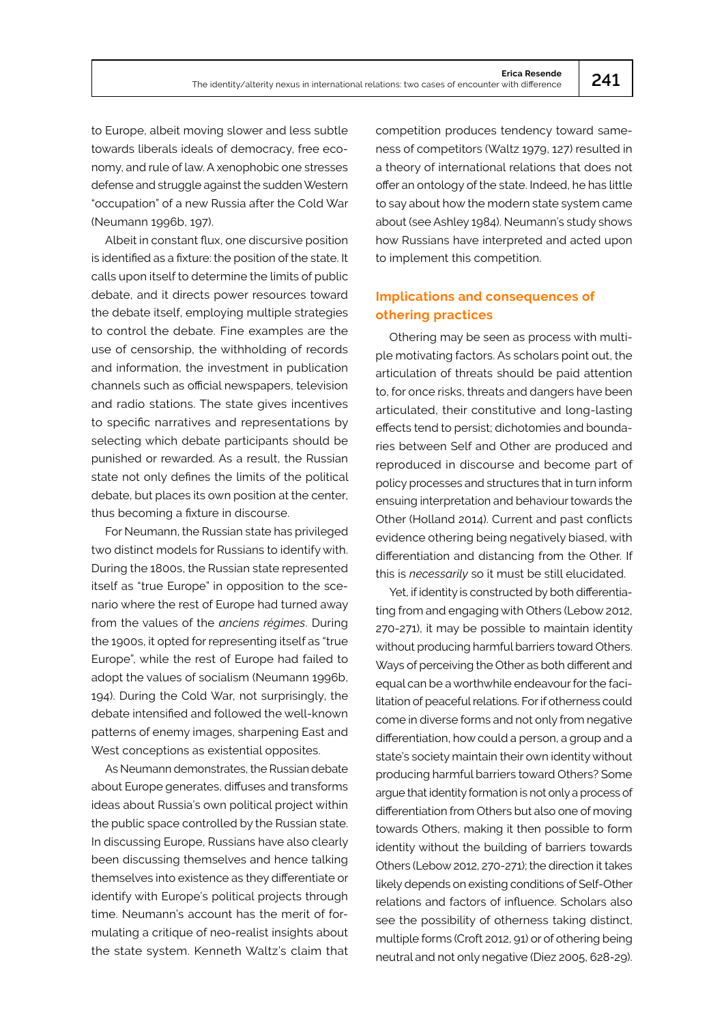The identity/alterity nexus in international relations: two cases of encounter with difference **241**

to Europe, albeit moving slower and less subtle towards liberals ideals of democracy, free economy, and rule of law. A xenophobic one stresses defense and struggle against the sudden Western "occupation" of a new Russia after the Cold War (Neumann 1996b, 197).

Albeit in constant flux, one discursive position is identified as a fixture: the position of the state. It calls upon itself to determine the limits of public debate, and it directs power resources toward the debate itself, employing multiple strategies to control the debate. Fine examples are the use of censorship, the withholding of records and information, the investment in publication channels such as official newspapers, television and radio stations. The state gives incentives to specific narratives and representations by selecting which debate participants should be punished or rewarded. As a result, the Russian state not only defines the limits of the political debate, but places its own position at the center, thus becoming a fixture in discourse.

For Neumann, the Russian state has privileged two distinct models for Russians to identify with. During the 1800s, the Russian state represented itself as "true Europe" in opposition to the scenario where the rest of Europe had turned away from the values of the *anciens régimes*. During the 1900s, it opted for representing itself as "true Europe", while the rest of Europe had failed to adopt the values of socialism (Neumann 1996b, 194). During the Cold War, not surprisingly, the debate intensified and followed the well-known patterns of enemy images, sharpening East and West conceptions as existential opposites.

As Neumann demonstrates, the Russian debate about Europe generates, diffuses and transforms ideas about Russia's own political project within the public space controlled by the Russian state. In discussing Europe, Russians have also clearly been discussing themselves and hence talking themselves into existence as they differentiate or identify with Europe's political projects through time. Neumann's account has the merit of formulating a critique of neo-realist insights about the state system. Kenneth Waltz's claim that

competition produces tendency toward sameness of competitors (Waltz 1979, 127) resulted in a theory of international relations that does not offer an ontology of the state. Indeed, he has little to say about how the modern state system came about (see Ashley 1984). Neumann's study shows how Russians have interpreted and acted upon to implement this competition.

#### **Implications and consequences of othering practices**

Othering may be seen as process with multiple motivating factors. As scholars point out, the articulation of threats should be paid attention to, for once risks, threats and dangers have been articulated, their constitutive and long-lasting effects tend to persist; dichotomies and boundaries between Self and Other are produced and reproduced in discourse and become part of policy processes and structures that in turn inform ensuing interpretation and behaviour towards the Other (Holland 2014). Current and past conflicts evidence othering being negatively biased, with differentiation and distancing from the Other. If this is *necessarily* so it must be still elucidated.

Yet, if identity is constructed by both differentiating from and engaging with Others (Lebow 2012, 270-271), it may be possible to maintain identity without producing harmful barriers toward Others. Ways of perceiving the Other as both different and equal can be a worthwhile endeavour for the facilitation of peaceful relations. For if otherness could come in diverse forms and not only from negative differentiation, how could a person, a group and a state's society maintain their own identity without producing harmful barriers toward Others? Some argue that identity formation is not only a process of differentiation from Others but also one of moving towards Others, making it then possible to form identity without the building of barriers towards Others (Lebow 2012, 270-271); the direction it takes likely depends on existing conditions of Self-Other relations and factors of influence. Scholars also see the possibility of otherness taking distinct, multiple forms (Croft 2012, 91) or of othering being neutral and not only negative (Diez 2005, 628-29).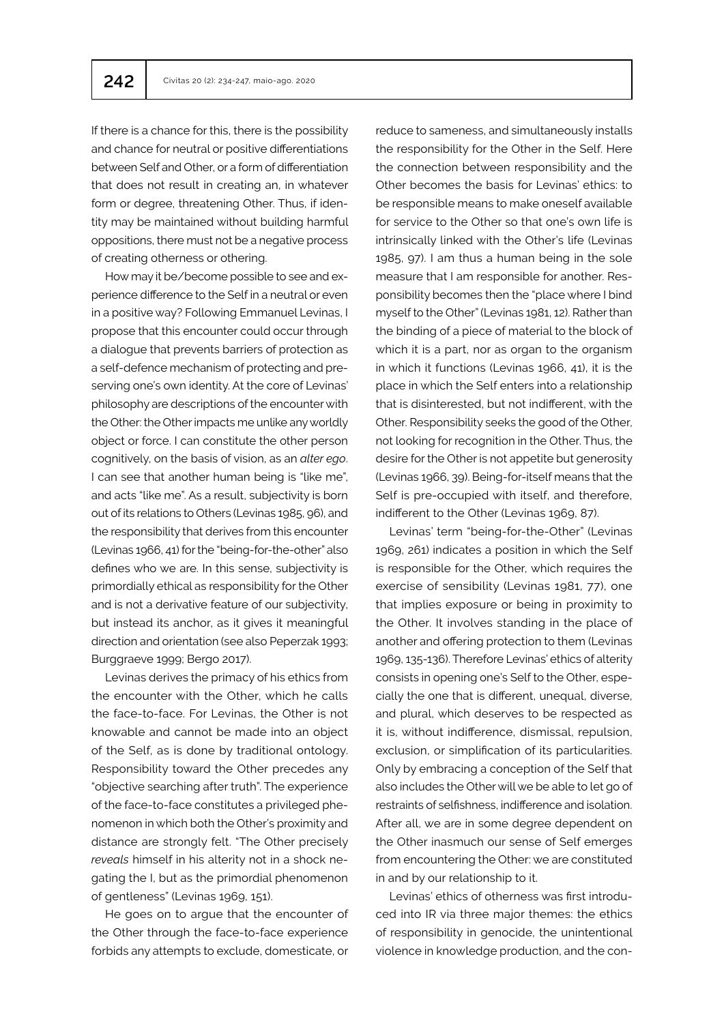If there is a chance for this, there is the possibility and chance for neutral or positive differentiations between Self and Other, or a form of differentiation that does not result in creating an, in whatever form or degree, threatening Other. Thus, if identity may be maintained without building harmful oppositions, there must not be a negative process of creating otherness or othering.

How may it be/become possible to see and experience difference to the Self in a neutral or even in a positive way? Following Emmanuel Levinas, I propose that this encounter could occur through a dialogue that prevents barriers of protection as a self-defence mechanism of protecting and preserving one's own identity. At the core of Levinas' philosophy are descriptions of the encounter with the Other: the Other impacts me unlike any worldly object or force. I can constitute the other person cognitively, on the basis of vision, as an *alter ego*. I can see that another human being is "like me", and acts "like me". As a result, subjectivity is born out of its relations to Others (Levinas 1985, 96), and the responsibility that derives from this encounter (Levinas 1966, 41) for the "being-for-the-other" also defines who we are. In this sense, subjectivity is primordially ethical as responsibility for the Other and is not a derivative feature of our subjectivity, but instead its anchor, as it gives it meaningful direction and orientation (see also Peperzak 1993; Burggraeve 1999; Bergo 2017).

Levinas derives the primacy of his ethics from the encounter with the Other, which he calls the face-to-face. For Levinas, the Other is not knowable and cannot be made into an object of the Self, as is done by traditional ontology. Responsibility toward the Other precedes any "objective searching after truth". The experience of the face-to-face constitutes a privileged phenomenon in which both the Other's proximity and distance are strongly felt. "The Other precisely *reveals* himself in his alterity not in a shock negating the I, but as the primordial phenomenon of gentleness" (Levinas 1969, 151).

He goes on to argue that the encounter of the Other through the face-to-face experience forbids any attempts to exclude, domesticate, or

reduce to sameness, and simultaneously installs the responsibility for the Other in the Self. Here the connection between responsibility and the Other becomes the basis for Levinas' ethics: to be responsible means to make oneself available for service to the Other so that one's own life is intrinsically linked with the Other's life (Levinas 1985, 97). I am thus a human being in the sole measure that I am responsible for another. Responsibility becomes then the "place where I bind myself to the Other" (Levinas 1981, 12). Rather than the binding of a piece of material to the block of which it is a part, nor as organ to the organism in which it functions (Levinas 1966, 41), it is the place in which the Self enters into a relationship that is disinterested, but not indifferent, with the Other. Responsibility seeks the good of the Other, not looking for recognition in the Other. Thus, the desire for the Other is not appetite but generosity (Levinas 1966, 39). Being-for-itself means that the Self is pre-occupied with itself, and therefore, indifferent to the Other (Levinas 1969, 87).

Levinas' term "being-for-the-Other" (Levinas 1969, 261) indicates a position in which the Self is responsible for the Other, which requires the exercise of sensibility (Levinas 1981, 77), one that implies exposure or being in proximity to the Other. It involves standing in the place of another and offering protection to them (Levinas 1969, 135-136). Therefore Levinas' ethics of alterity consists in opening one's Self to the Other, especially the one that is different, unequal, diverse, and plural, which deserves to be respected as it is, without indifference, dismissal, repulsion, exclusion, or simplification of its particularities. Only by embracing a conception of the Self that also includes the Other will we be able to let go of restraints of selfishness, indifference and isolation. After all, we are in some degree dependent on the Other inasmuch our sense of Self emerges from encountering the Other: we are constituted in and by our relationship to it.

Levinas' ethics of otherness was first introduced into IR via three major themes: the ethics of responsibility in genocide, the unintentional violence in knowledge production, and the con-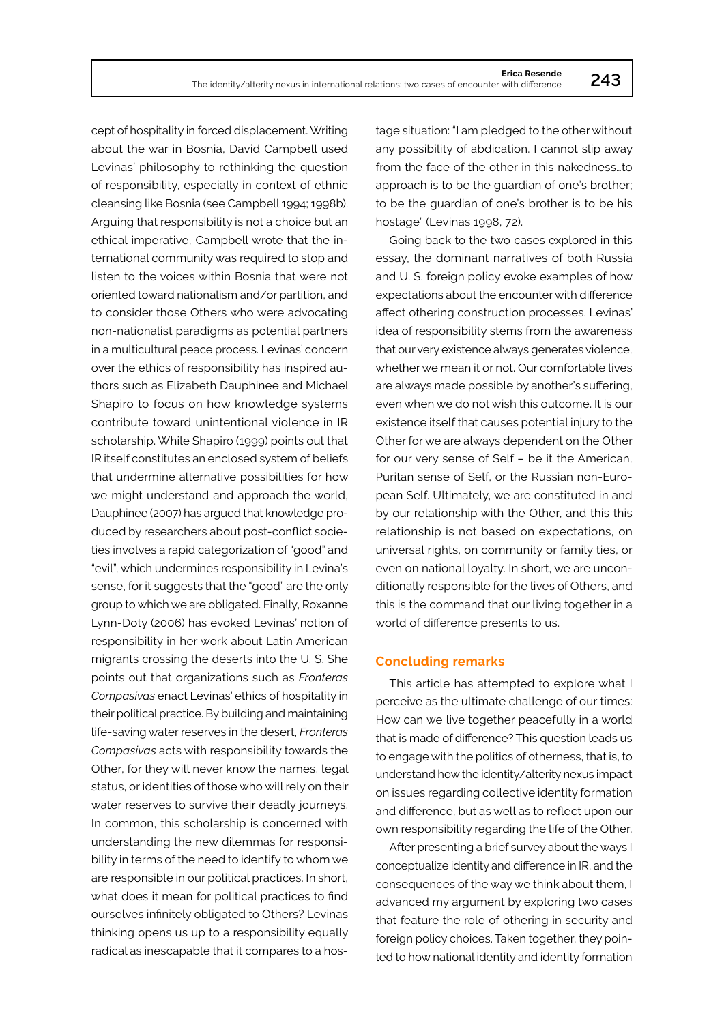cept of hospitality in forced displacement. Writing about the war in Bosnia, David Campbell used Levinas' philosophy to rethinking the question of responsibility, especially in context of ethnic cleansing like Bosnia (see Campbell 1994; 1998b). Arguing that responsibility is not a choice but an ethical imperative, Campbell wrote that the international community was required to stop and listen to the voices within Bosnia that were not oriented toward nationalism and/or partition, and to consider those Others who were advocating non-nationalist paradigms as potential partners in a multicultural peace process. Levinas' concern over the ethics of responsibility has inspired authors such as Elizabeth Dauphinee and Michael Shapiro to focus on how knowledge systems contribute toward unintentional violence in IR scholarship. While Shapiro (1999) points out that IR itself constitutes an enclosed system of beliefs that undermine alternative possibilities for how we might understand and approach the world, Dauphinee (2007) has argued that knowledge produced by researchers about post-conflict societies involves a rapid categorization of "good" and "evil", which undermines responsibility in Levina's sense, for it suggests that the "good" are the only group to which we are obligated. Finally, Roxanne Lynn-Doty (2006) has evoked Levinas' notion of responsibility in her work about Latin American migrants crossing the deserts into the U. S. She points out that organizations such as *Fronteras Compasivas* enact Levinas' ethics of hospitality in their political practice. By building and maintaining life-saving water reserves in the desert, *Fronteras Compasivas* acts with responsibility towards the Other, for they will never know the names, legal status, or identities of those who will rely on their water reserves to survive their deadly journeys. In common, this scholarship is concerned with understanding the new dilemmas for responsibility in terms of the need to identify to whom we are responsible in our political practices. In short, what does it mean for political practices to find ourselves infinitely obligated to Others? Levinas thinking opens us up to a responsibility equally radical as inescapable that it compares to a hostage situation: "I am pledged to the other without any possibility of abdication. I cannot slip away from the face of the other in this nakedness…to approach is to be the guardian of one's brother; to be the guardian of one's brother is to be his hostage" (Levinas 1998, 72).

Going back to the two cases explored in this essay, the dominant narratives of both Russia and U. S. foreign policy evoke examples of how expectations about the encounter with difference affect othering construction processes. Levinas' idea of responsibility stems from the awareness that our very existence always generates violence, whether we mean it or not. Our comfortable lives are always made possible by another's suffering, even when we do not wish this outcome. It is our existence itself that causes potential injury to the Other for we are always dependent on the Other for our very sense of Self – be it the American, Puritan sense of Self, or the Russian non-European Self. Ultimately, we are constituted in and by our relationship with the Other, and this this relationship is not based on expectations, on universal rights, on community or family ties, or even on national loyalty. In short, we are unconditionally responsible for the lives of Others, and this is the command that our living together in a world of difference presents to us.

#### **Concluding remarks**

This article has attempted to explore what I perceive as the ultimate challenge of our times: How can we live together peacefully in a world that is made of difference? This question leads us to engage with the politics of otherness, that is, to understand how the identity/alterity nexus impact on issues regarding collective identity formation and difference, but as well as to reflect upon our own responsibility regarding the life of the Other.

After presenting a brief survey about the ways I conceptualize identity and difference in IR, and the consequences of the way we think about them, I advanced my argument by exploring two cases that feature the role of othering in security and foreign policy choices. Taken together, they pointed to how national identity and identity formation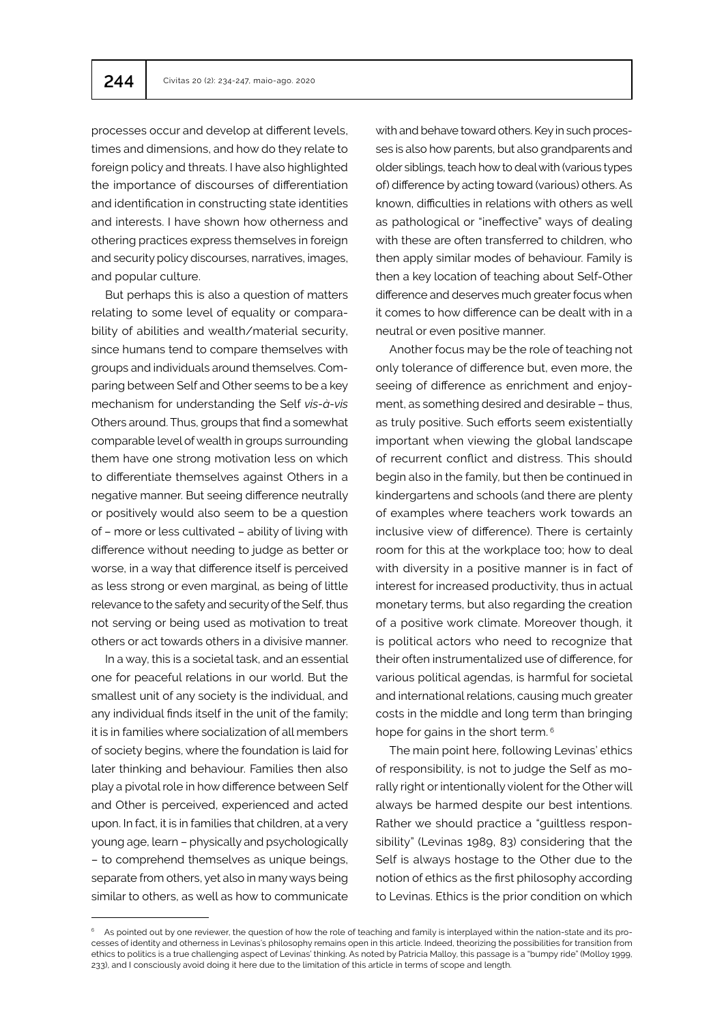processes occur and develop at different levels, times and dimensions, and how do they relate to foreign policy and threats. I have also highlighted the importance of discourses of differentiation and identification in constructing state identities and interests. I have shown how otherness and othering practices express themselves in foreign and security policy discourses, narratives, images, and popular culture.

But perhaps this is also a question of matters relating to some level of equality or comparability of abilities and wealth/material security, since humans tend to compare themselves with groups and individuals around themselves. Comparing between Self and Other seems to be a key mechanism for understanding the Self *vis-à-vis* Others around. Thus, groups that find a somewhat comparable level of wealth in groups surrounding them have one strong motivation less on which to differentiate themselves against Others in a negative manner. But seeing difference neutrally or positively would also seem to be a question of – more or less cultivated – ability of living with difference without needing to judge as better or worse, in a way that difference itself is perceived as less strong or even marginal, as being of little relevance to the safety and security of the Self, thus not serving or being used as motivation to treat others or act towards others in a divisive manner.

In a way, this is a societal task, and an essential one for peaceful relations in our world. But the smallest unit of any society is the individual, and any individual finds itself in the unit of the family; it is in families where socialization of all members of society begins, where the foundation is laid for later thinking and behaviour. Families then also play a pivotal role in how difference between Self and Other is perceived, experienced and acted upon. In fact, it is in families that children, at a very young age, learn – physically and psychologically – to comprehend themselves as unique beings, separate from others, yet also in many ways being similar to others, as well as how to communicate

with and behave toward others. Key in such processes is also how parents, but also grandparents and older siblings, teach how to deal with (various types of) difference by acting toward (various) others. As known, difficulties in relations with others as well as pathological or "ineffective" ways of dealing with these are often transferred to children, who then apply similar modes of behaviour. Family is then a key location of teaching about Self-Other difference and deserves much greater focus when it comes to how difference can be dealt with in a neutral or even positive manner.

Another focus may be the role of teaching not only tolerance of difference but, even more, the seeing of difference as enrichment and enjoyment, as something desired and desirable – thus, as truly positive. Such efforts seem existentially important when viewing the global landscape of recurrent conflict and distress. This should begin also in the family, but then be continued in kindergartens and schools (and there are plenty of examples where teachers work towards an inclusive view of difference). There is certainly room for this at the workplace too; how to deal with diversity in a positive manner is in fact of interest for increased productivity, thus in actual monetary terms, but also regarding the creation of a positive work climate. Moreover though, it is political actors who need to recognize that their often instrumentalized use of difference, for various political agendas, is harmful for societal and international relations, causing much greater costs in the middle and long term than bringing hope for gains in the short term.<sup>6</sup>

The main point here, following Levinas' ethics of responsibility, is not to judge the Self as morally right or intentionally violent for the Other will always be harmed despite our best intentions. Rather we should practice a "guiltless responsibility" (Levinas 1989, 83) considering that the Self is always hostage to the Other due to the notion of ethics as the first philosophy according to Levinas. Ethics is the prior condition on which

<sup>&</sup>lt;sup>6</sup> As pointed out by one reviewer, the question of how the role of teaching and family is interplayed within the nation-state and its processes of identity and otherness in Levinas's philosophy remains open in this article. Indeed, theorizing the possibilities for transition from ethics to politics is a true challenging aspect of Levinas' thinking. As noted by Patricia Malloy, this passage is a "bumpy ride" (Molloy 1999, 233), and I consciously avoid doing it here due to the limitation of this article in terms of scope and length.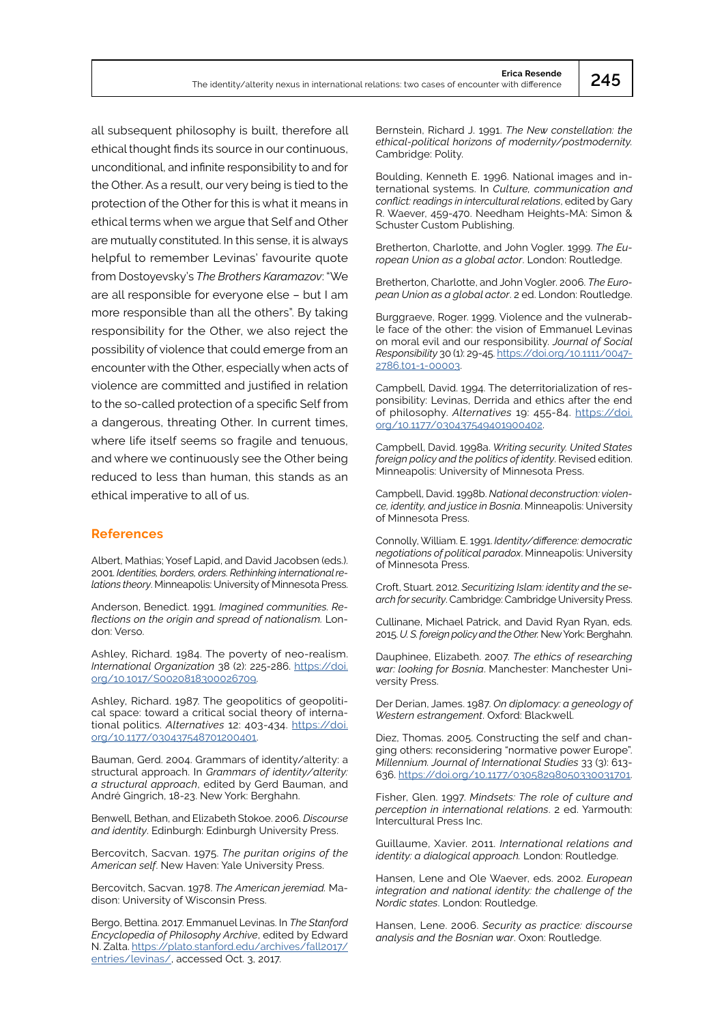all subsequent philosophy is built, therefore all ethical thought finds its source in our continuous, unconditional, and infinite responsibility to and for the Other. As a result, our very being is tied to the protection of the Other for this is what it means in ethical terms when we argue that Self and Other are mutually constituted. In this sense, it is always helpful to remember Levinas' favourite quote from Dostoyevsky's *The Brothers Karamazov*: "We are all responsible for everyone else – but I am more responsible than all the others". By taking responsibility for the Other, we also reject the possibility of violence that could emerge from an encounter with the Other, especially when acts of violence are committed and justified in relation to the so-called protection of a specific Self from a dangerous, threating Other. In current times, where life itself seems so fragile and tenuous, and where we continuously see the Other being reduced to less than human, this stands as an ethical imperative to all of us.

#### **References**

Albert, Mathias; Yosef Lapid, and David Jacobsen (eds.). 2001. *Identities, borders, orders. Rethinking international relations theory*. Minneapolis: University of Minnesota Press.

Anderson, Benedict. 1991. *Imagined communities. Reflections on the origin and spread of nationalism.* London: Verso.

Ashley, Richard. 1984. The poverty of neo-realism. *International Organization* 38 (2): 225-286. [https://doi.](https://doi.org/10.1017/S0020818300026709) [org/10.1017/S0020818300026709](https://doi.org/10.1017/S0020818300026709).

Ashley, Richard. 1987. The geopolitics of geopolitical space: toward a critical social theory of international politics. *Alternatives* 12: 403-434. [https://doi.](https://doi.org/10.1177/030437548701200401) [org/10.1177/030437548701200401](https://doi.org/10.1177/030437548701200401).

Bauman, Gerd. 2004. Grammars of identity/alterity: a structural approach. In *Grammars of identity/alterity: a structural approach*, edited by Gerd Bauman, and André Gingrich, 18-23. New York: Berghahn.

Benwell, Bethan, and Elizabeth Stokoe. 2006. *Discourse and identity*. Edinburgh: Edinburgh University Press.

Bercovitch, Sacvan. 1975. *The puritan origins of the American self*. New Haven: Yale University Press.

Bercovitch, Sacvan. 1978. *The American jeremiad.* Madison: University of Wisconsin Press.

Bergo, Bettina. 2017. Emmanuel Levinas. In *The Stanford Encyclopedia of Philosophy Archive*, edited by Edward N. Zalta. [https://plato.stanford.edu/archives/fall2017/](https://plato.stanford.edu/archives/fall2017/entries/levinas/) [entries/levinas/](https://plato.stanford.edu/archives/fall2017/entries/levinas/), accessed Oct. 3, 2017.

Bernstein, Richard J. 1991. *The New constellation: the ethical-political horizons of modernity/postmodernity.*  Cambridge: Polity.

Boulding, Kenneth E. 1996. National images and international systems. In *Culture, communication and conflict: readings in intercultural relations*, edited by Gary R. Waever, 459-470. Needham Heights-MA: Simon & Schuster Custom Publishing.

Bretherton, Charlotte, and John Vogler. 1999. *The European Union as a global actor*. London: Routledge.

Bretherton, Charlotte, and John Vogler. 2006. *The European Union as a global actor*. 2 ed. London: Routledge.

Burggraeve, Roger. 1999. Violence and the vulnerable face of the other: the vision of Emmanuel Levinas on moral evil and our responsibility. *Journal of Social Responsibility* 30 (1): 29-45. [https://doi.org/10.1111/0047-](https://doi.org/10.1111/0047-2786.t01-1-00003) [2786.t01-1-00003](https://doi.org/10.1111/0047-2786.t01-1-00003).

Campbell, David. 1994. The deterritorialization of responsibility: Levinas, Derrida and ethics after the end of philosophy. *Alternatives* 19: 455-84. [https://doi.](https://doi.org/10.1177/030437549401900402) [org/10.1177/030437549401900402](https://doi.org/10.1177/030437549401900402).

Campbell, David. 1998a. *Writing security. United States foreign policy and the politics of identity*. Revised edition. Minneapolis: University of Minnesota Press.

Campbell, David. 1998b. *National deconstruction: violence, identity, and justice in Bosnia*. Minneapolis: University of Minnesota Press.

Connolly, William. E. 1991. *Identity/difference: democratic negotiations of political paradox*. Minneapolis: University of Minnesota Press.

Croft, Stuart. 2012. *Securitizing Islam: identity and the search for security*. Cambridge: Cambridge University Press.

Cullinane, Michael Patrick, and David Ryan Ryan, eds. 2015. *U. S. foreign policy and the Other.* New York: Berghahn.

Dauphinee, Elizabeth. 2007. *The ethics of researching war: looking for Bosnia*. Manchester: Manchester University Press.

Der Derian, James. 1987. *On diplomacy: a geneology of Western estrangement*. Oxford: Blackwell.

Diez, Thomas. 2005. Constructing the self and changing others: reconsidering "normative power Europe". *Millennium. Journal of International Studies* 33 (3): 613- 636. <https://doi.org/10.1177/03058298050330031701>.

Fisher, Glen. 1997. *Mindsets: The role of culture and perception in international relations*. 2 ed. Yarmouth: Intercultural Press Inc.

Guillaume, Xavier. 2011. *International relations and identity: a dialogical approach.* London: Routledge.

Hansen, Lene and Ole Waever, eds. 2002. *European integration and national identity: the challenge of the Nordic states*. London: Routledge.

Hansen, Lene. 2006. *Security as practice: discourse analysis and the Bosnian war*. Oxon: Routledge.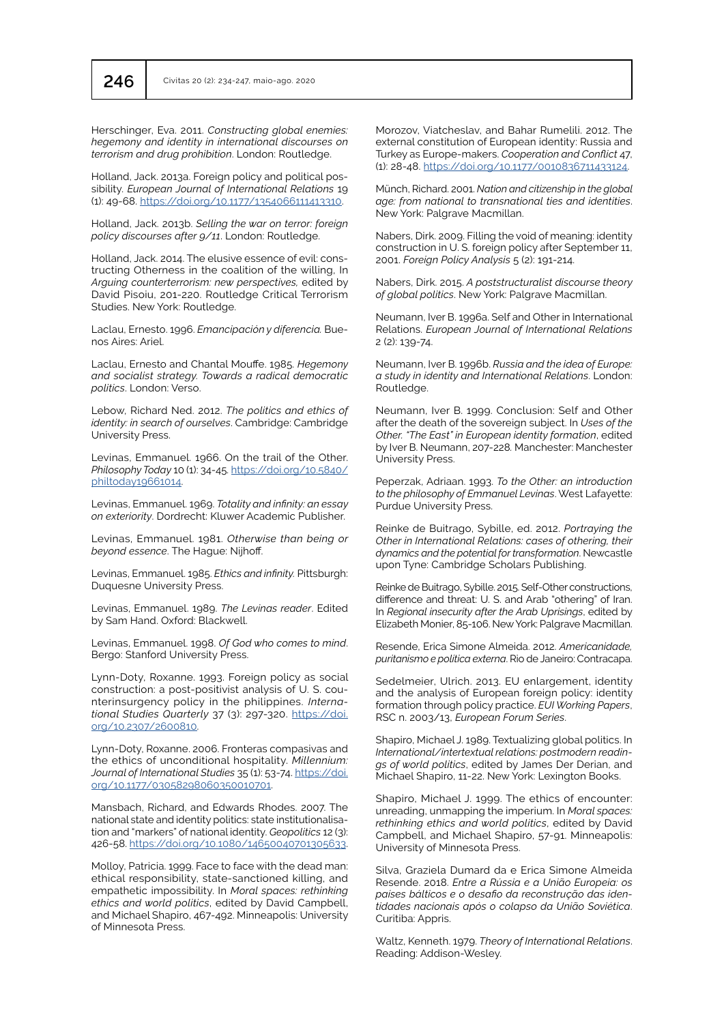Herschinger, Eva. 2011. *Constructing global enemies: hegemony and identity in international discourses on terrorism and drug prohibition*. London: Routledge.

Holland, Jack. 2013a. Foreign policy and political possibility. *European Journal of International Relations* 19 (1): 49-68.<https://doi.org/10.1177/1354066111413310>.

Holland, Jack. 2013b. *Selling the war on terror: foreign policy discourses after 9/11*. London: Routledge.

Holland, Jack. 2014. The elusive essence of evil: constructing Otherness in the coalition of the willing, In *Arguing counterterrorism: new perspectives,* edited by David Pisoiu, 201-220. Routledge Critical Terrorism Studies. New York: Routledge.

Laclau, Ernesto. 1996. *Emancipación y diferencia.* Buenos Aires: Ariel.

Laclau, Ernesto and Chantal Mouffe. 1985. *Hegemony and socialist strategy. Towards a radical democratic politics*. London: Verso.

Lebow, Richard Ned. 2012. *The politics and ethics of identity: in search of ourselves*. Cambridge: Cambridge University Press.

Levinas, Emmanuel. 1966. On the trail of the Other. *Philosophy Today* 10 (1): 34-45. [https://doi.org/10.5840/](https://doi.org/10.5840/philtoday19661014) [philtoday19661014](https://doi.org/10.5840/philtoday19661014).

Levinas, Emmanuel. 1969. *Totality and infinity: an essay on exteriority*. Dordrecht: Kluwer Academic Publisher.

Levinas, Emmanuel. 1981. *Otherwise than being or beyond essence*. The Hague: Nijhoff.

Levinas, Emmanuel. 1985. *Ethics and infinity.* Pittsburgh: Duquesne University Press.

Levinas, Emmanuel. 1989. *The Levinas reader*. Edited by Sam Hand. Oxford: Blackwell.

Levinas, Emmanuel. 1998. *Of God who comes to mind*. Bergo: Stanford University Press.

Lynn-Doty, Roxanne. 1993. Foreign policy as social construction: a post-positivist analysis of U. S. counterinsurgency policy in the philippines. *International Studies Quarterly* 37 (3): 297-320. [https://doi.](https://doi.org/10.2307/2600810) [org/10.2307/2600810](https://doi.org/10.2307/2600810).

Lynn-Doty, Roxanne. 2006. Fronteras compasivas and the ethics of unconditional hospitality. *Millennium: Journal of International Studies* 35 (1): 53-74. [https://doi.](https://doi.org/10.1177/03058298060350010701) [org/10.1177/03058298060350010701](https://doi.org/10.1177/03058298060350010701).

Mansbach, Richard, and Edwards Rhodes. 2007. The national state and identity politics: state institutionalisation and "markers" of national identity. *Geopolitics* 12 (3): 426-58.<https://doi.org/10.1080/14650040701305633>.

Molloy, Patricia. 1999. Face to face with the dead man: ethical responsibility, state-sanctioned killing, and empathetic impossibility. In *Moral spaces: rethinking ethics and world politics*, edited by David Campbell, and Michael Shapiro, 467-492. Minneapolis: University of Minnesota Press.

Morozov, Viatcheslav, and Bahar Rumelili. 2012. The external constitution of European identity: Russia and Turkey as Europe-makers. *Cooperation and Conflict* 47, (1): 28-48.<https://doi.org/10.1177/0010836711433124>.

Münch, Richard. 2001. *Nation and citizenship in the global age: from national to transnational ties and identities*. New York: Palgrave Macmillan.

Nabers, Dirk. 2009. Filling the void of meaning: identity construction in U. S. foreign policy after September 11, 2001. *Foreign Policy Analysis* 5 (2): 191-214.

Nabers, Dirk. 2015. *A poststructuralist discourse theory of global politics*. New York: Palgrave Macmillan.

Neumann, Iver B. 1996a. Self and Other in International Relations. *European Journal of International Relations* 2 (2): 139-74.

Neumann, Iver B. 1996b. *Russia and the idea of Europe: a study in identity and International Relations*. London: Routledge.

Neumann, Iver B. 1999. Conclusion: Self and Other after the death of the sovereign subject. In *Uses of the Other. "The East" in European identity formation*, edited by Iver B. Neumann, 207-228*.* Manchester: Manchester University Press.

Peperzak, Adriaan. 1993. *To the Other: an introduction to the philosophy of Emmanuel Levinas*. West Lafayette: Purdue University Press.

Reinke de Buitrago, Sybille, ed. 2012. *Portraying the Other in International Relations: cases of othering, their dynamics and the potential for transformation*. Newcastle upon Tyne: Cambridge Scholars Publishing.

Reinke de Buitrago, Sybille. 2015. Self-Other constructions, difference and threat: U. S. and Arab "othering" of Iran. In *Regional insecurity after the Arab Uprisings*, edited by Elizabeth Monier, 85-106. New York: Palgrave Macmillan.

Resende, Erica Simone Almeida. 2012. *Americanidade, puritanismo e política externa*. Rio de Janeiro: Contracapa.

Sedelmeier, Ulrich. 2013. EU enlargement, identity and the analysis of European foreign policy: identity formation through policy practice. *EUI Working Papers*, RSC n. 2003/13, *European Forum Series*.

Shapiro, Michael J. 1989. Textualizing global politics. In *International/intertextual relations: postmodern readings of world politics*, edited by James Der Derian, and Michael Shapiro, 11-22. New York: Lexington Books.

Shapiro, Michael J. 1999. The ethics of encounter: unreading, unmapping the imperium. In *Moral spaces: rethinking ethics and world politics*, edited by David Campbell, and Michael Shapiro, 57-91. Minneapolis: University of Minnesota Press.

Silva, Graziela Dumard da e Erica Simone Almeida Resende. 2018. *Entre a Rússia e a União Europeia: os países bálticos e o desafio da reconstrução das identidades nacionais após o colapso da União Soviética*. Curitiba: Appris.

Waltz, Kenneth. 1979. *Theory of International Relations*. Reading: Addison-Wesley.